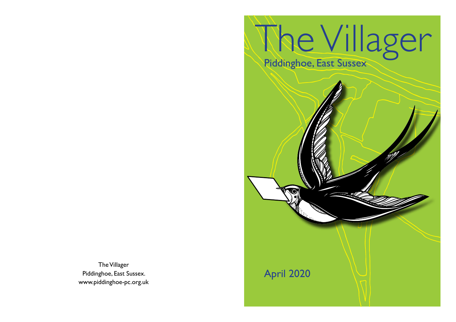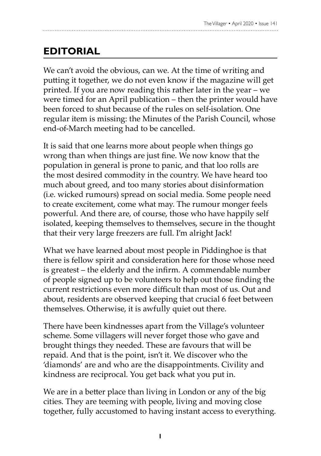### **EDITORIAL**

We can't avoid the obvious, can we. At the time of writing and putting it together, we do not even know if the magazine will get printed. If you are now reading this rather later in the year – we were timed for an April publication – then the printer would have been forced to shut because of the rules on self-isolation. One regular item is missing: the Minutes of the Parish Council, whose end-of-March meeting had to be cancelled.

It is said that one learns more about people when things go wrong than when things are just fine. We now know that the population in general is prone to panic, and that loo rolls are the most desired commodity in the country. We have heard too much about greed, and too many stories about disinformation (i.e. wicked rumours) spread on social media. Some people need to create excitement, come what may. The rumour monger feels powerful. And there are, of course, those who have happily self isolated, keeping themselves to themselves, secure in the thought that their very large freezers are full. I'm alright Jack!

What we have learned about most people in Piddinghoe is that there is fellow spirit and consideration here for those whose need is greatest – the elderly and the infirm. A commendable number of people signed up to be volunteers to help out those finding the current restrictions even more difficult than most of us. Out and about, residents are observed keeping that crucial 6 feet between themselves. Otherwise, it is awfully quiet out there.

There have been kindnesses apart from the Village's volunteer scheme. Some villagers will never forget those who gave and brought things they needed. These are favours that will be repaid. And that is the point, isn't it. We discover who the 'diamonds' are and who are the disappointments. Civility and kindness are reciprocal. You get back what you put in.

We are in a better place than living in London or any of the big cities. They are teeming with people, living and moving close together, fully accustomed to having instant access to everything.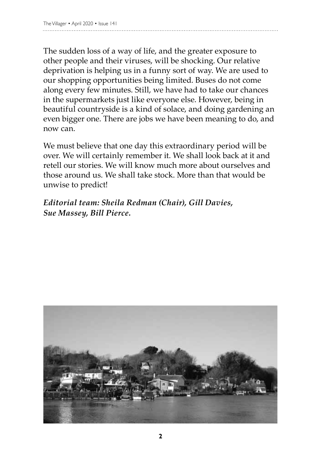The sudden loss of a way of life, and the greater exposure to other people and their viruses, will be shocking. Our relative deprivation is helping us in a funny sort of way. We are used to our shopping opportunities being limited. Buses do not come along every few minutes. Still, we have had to take our chances in the supermarkets just like everyone else. However, being in beautiful countryside is a kind of solace, and doing gardening an even bigger one. There are jobs we have been meaning to do, and now can.

We must believe that one day this extraordinary period will be over. We will certainly remember it. We shall look back at it and retell our stories. We will know much more about ourselves and those around us. We shall take stock. More than that would be unwise to predict!

*Editorial team: Sheila Redman (Chair), Gill Davies, Sue Massey, Bill Pierce.* 

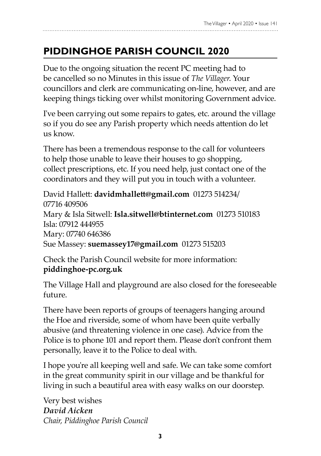## **Piddinghoe Parish Council 2020**

Due to the ongoing situation the recent PC meeting had to be cancelled so no Minutes in this issue of *The Villager*. Your councillors and clerk are communicating on-line, however, and are keeping things ticking over whilst monitoring Government advice.

I've been carrying out some repairs to gates, etc. around the village so if you do see any Parish property which needs attention do let us know.

There has been a tremendous response to the call for volunteers to help those unable to leave their houses to go shopping, collect prescriptions, etc. If you need help, just contact one of the coordinators and they will put you in touch with a volunteer.

David Hallett: **davidmhallett@gmail.com** 01273 514234/ 07716 409506 Mary & Isla Sitwell: **Isla.sitwell@btinternet.com** 01273 510183 Isla: 07912 444955 Mary: 07740 646386 Sue Massey: **suemassey17@gmail.com** 01273 515203

Check the Parish Council website for more information: **piddinghoe-pc.org.uk**

The Village Hall and playground are also closed for the foreseeable future.

There have been reports of groups of teenagers hanging around the Hoe and riverside, some of whom have been quite verbally abusive (and threatening violence in one case). Advice from the Police is to phone 101 and report them. Please don't confront them personally, leave it to the Police to deal with.

I hope you're all keeping well and safe. We can take some comfort in the great community spirit in our village and be thankful for living in such a beautiful area with easy walks on our doorstep.

Very best wishes *David Aicken Chair, Piddinghoe Parish Council*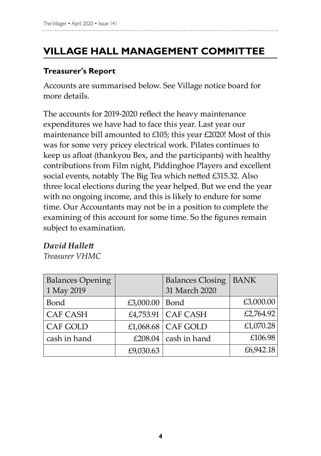# **Village Hall Management Committee**

#### **Treasurer's Report**

Accounts are summarised below. See Village notice board for more details.

The accounts for 2019-2020 reflect the heavy maintenance expenditures we have had to face this year. Last year our maintenance bill amounted to £105; this year £2020! Most of this was for some very pricey electrical work. Pilates continues to keep us afloat (thankyou Bex, and the participants) with healthy contributions from Film night, Piddinghoe Players and excellent social events, notably The Big Tea which netted £315.32. Also three local elections during the year helped. But we end the year with no ongoing income, and this is likely to endure for some time. Our Accountants may not be in a position to complete the examining of this account for some time. So the figures remain subject to examination.

#### *David Hallett*

*Treasurer VHMC*

| <b>Balances Opening</b><br>1 May 2019 |                  | <b>Balances Closing</b><br>31 March 2020 | <b>BANK</b> |
|---------------------------------------|------------------|------------------------------------------|-------------|
| Bond                                  | £3,000.00   Bond |                                          | £3,000.00   |
| <b>CAF CASH</b>                       |                  | £4,753.91   CAF CASH                     | £2,764.92   |
| CAF GOLD                              |                  | £1,068.68 $\vert$ CAF GOLD               | £1,070.28   |
| cash in hand                          |                  | £208.04 $\vert$ cash in hand             | £106.98     |
|                                       | £9,030.63        |                                          | £6,942.18   |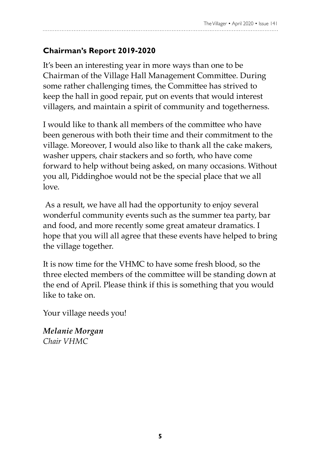### **Chairman's Report 2019-2020**

It's been an interesting year in more ways than one to be Chairman of the Village Hall Management Committee. During some rather challenging times, the Committee has strived to keep the hall in good repair, put on events that would interest villagers, and maintain a spirit of community and togetherness.

I would like to thank all members of the committee who have been generous with both their time and their commitment to the village. Moreover, I would also like to thank all the cake makers, washer uppers, chair stackers and so forth, who have come forward to help without being asked, on many occasions. Without you all, Piddinghoe would not be the special place that we all love.

 As a result, we have all had the opportunity to enjoy several wonderful community events such as the summer tea party, bar and food, and more recently some great amateur dramatics. I hope that you will all agree that these events have helped to bring the village together.

It is now time for the VHMC to have some fresh blood, so the three elected members of the committee will be standing down at the end of April. Please think if this is something that you would like to take on.

Your village needs you!

*Melanie Morgan Chair VHMC*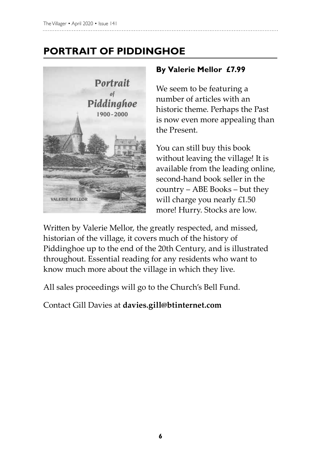## **PORTRAIT OF PIDDINGHOE**



#### **By Valerie Mellor £7.99**

We seem to be featuring a number of articles with an historic theme. Perhaps the Past is now even more appealing than the Present.

You can still buy this book without leaving the village! It is available from the leading online, second-hand book seller in the country – ABE Books – but they will charge you nearly £1.50 more! Hurry. Stocks are low.

Written by Valerie Mellor, the greatly respected, and missed, historian of the village, it covers much of the history of Piddinghoe up to the end of the 20th Century, and is illustrated throughout. Essential reading for any residents who want to know much more about the village in which they live.

All sales proceedings will go to the Church's Bell Fund.

Contact Gill Davies at **davies.gill@btinternet.com**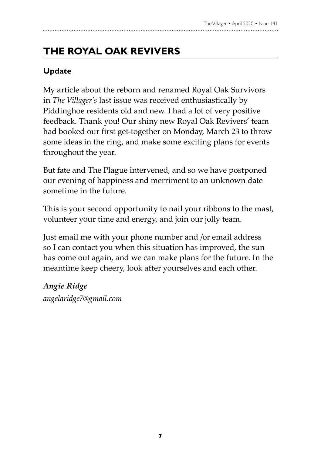# **THE ROYAL OAK REVIVERS**

### **Update**

My article about the reborn and renamed Royal Oak Survivors in *The Villager's* last issue was received enthusiastically by Piddinghoe residents old and new. I had a lot of very positive feedback. Thank you! Our shiny new Royal Oak Revivers' team had booked our first get-together on Monday, March 23 to throw some ideas in the ring, and make some exciting plans for events throughout the year.

But fate and The Plague intervened, and so we have postponed our evening of happiness and merriment to an unknown date sometime in the future.

This is your second opportunity to nail your ribbons to the mast, volunteer your time and energy, and join our jolly team.

Just email me with your phone number and /or email address so I can contact you when this situation has improved, the sun has come out again, and we can make plans for the future. In the meantime keep cheery, look after yourselves and each other.

*Angie Ridge angelaridge7@gmail.com*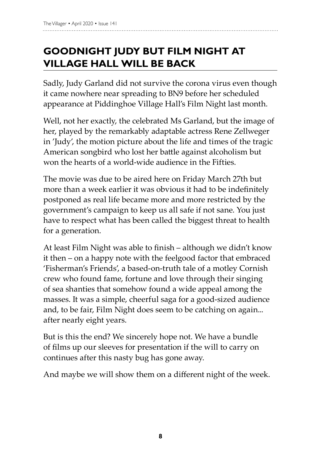## **GOODNIGHT JUDY BUT FILM NIGHT AT VILLAGE HALL WILL BE BACK**

Sadly, Judy Garland did not survive the corona virus even though it came nowhere near spreading to BN9 before her scheduled appearance at Piddinghoe Village Hall's Film Night last month.

Well, not her exactly, the celebrated Ms Garland, but the image of her, played by the remarkably adaptable actress Rene Zellweger in 'Judy', the motion picture about the life and times of the tragic American songbird who lost her battle against alcoholism but won the hearts of a world-wide audience in the Fifties.

The movie was due to be aired here on Friday March 27th but more than a week earlier it was obvious it had to be indefinitely postponed as real life became more and more restricted by the government's campaign to keep us all safe if not sane. You just have to respect what has been called the biggest threat to health for a generation.

At least Film Night was able to finish – although we didn't know it then – on a happy note with the feelgood factor that embraced 'Fisherman's Friends', a based-on-truth tale of a motley Cornish crew who found fame, fortune and love through their singing of sea shanties that somehow found a wide appeal among the masses. It was a simple, cheerful saga for a good-sized audience and, to be fair, Film Night does seem to be catching on again... after nearly eight years.

But is this the end? We sincerely hope not. We have a bundle of films up our sleeves for presentation if the will to carry on continues after this nasty bug has gone away.

And maybe we will show them on a different night of the week.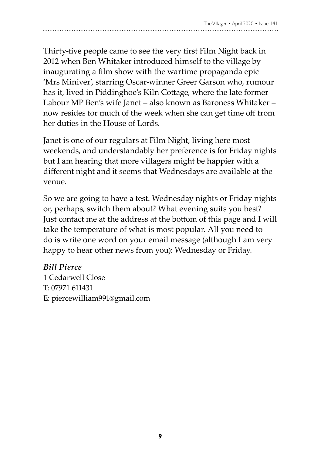Thirty-five people came to see the very first Film Night back in 2012 when Ben Whitaker introduced himself to the village by inaugurating a film show with the wartime propaganda epic 'Mrs Miniver', starring Oscar-winner Greer Garson who, rumour has it, lived in Piddinghoe's Kiln Cottage, where the late former Labour MP Ben's wife Janet – also known as Baroness Whitaker – now resides for much of the week when she can get time off from her duties in the House of Lords.

Janet is one of our regulars at Film Night, living here most weekends, and understandably her preference is for Friday nights but I am hearing that more villagers might be happier with a different night and it seems that Wednesdays are available at the venue.

So we are going to have a test. Wednesday nights or Friday nights or, perhaps, switch them about? What evening suits you best? Just contact me at the address at the bottom of this page and I will take the temperature of what is most popular. All you need to do is write one word on your email message (although I am very happy to hear other news from you): Wednesday or Friday.

#### *Bill Pierce*

1 Cedarwell Close T: 07971 611431 E: piercewilliam991@gmail.com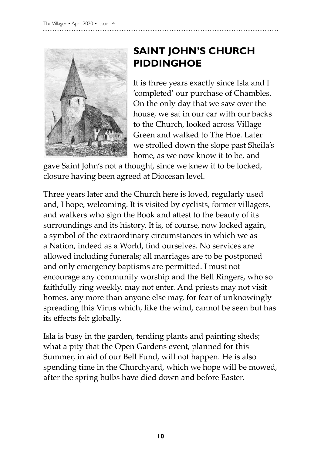

### **SAINT JOHN'S CHURCH PIDDINGHOE**

It is three years exactly since Isla and I 'completed' our purchase of Chambles. On the only day that we saw over the house, we sat in our car with our backs to the Church, looked across Village Green and walked to The Hoe. Later we strolled down the slope past Sheila's home, as we now know it to be, and

gave Saint John's not a thought, since we knew it to be locked, closure having been agreed at Diocesan level.

Three years later and the Church here is loved, regularly used and, I hope, welcoming. It is visited by cyclists, former villagers, and walkers who sign the Book and attest to the beauty of its surroundings and its history. It is, of course, now locked again, a symbol of the extraordinary circumstances in which we as a Nation, indeed as a World, find ourselves. No services are allowed including funerals; all marriages are to be postponed and only emergency baptisms are permitted. I must not encourage any community worship and the Bell Ringers, who so faithfully ring weekly, may not enter. And priests may not visit homes, any more than anyone else may, for fear of unknowingly spreading this Virus which, like the wind, cannot be seen but has its effects felt globally.

Isla is busy in the garden, tending plants and painting sheds; what a pity that the Open Gardens event, planned for this Summer, in aid of our Bell Fund, will not happen. He is also spending time in the Churchyard, which we hope will be mowed, after the spring bulbs have died down and before Easter.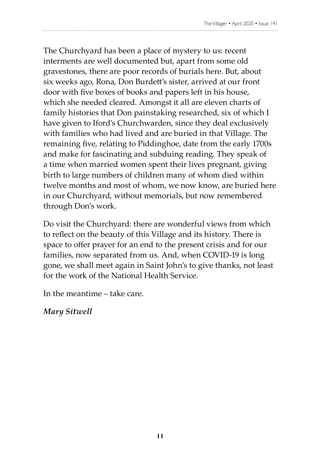### The Churchyard has been a place of mystery to us: recent interments are well documented but, apart from some old gravestones, there are poor records of burials here. But, about six weeks ago, Rona, Don Burdett's sister, arrived at our front door with five boxes of books and papers left in his house, which she needed cleared. Amongst it all are eleven charts of family histories that Don painstaking researched, six of which I have given to Iford's Churchwarden, since they deal exclusively with families who had lived and are buried in that Village. The remaining five, relating to Piddinghoe, date from the early 1700s and make for fascinating and subduing reading. They speak of a time when married women spent their lives pregnant, giving birth to large numbers of children many of whom died within twelve months and most of whom, we now know, are buried here in our Churchyard, without memorials, but now remembered through Don's work.

Do visit the Churchyard: there are wonderful views from which to reflect on the beauty of this Village and its history. There is space to offer prayer for an end to the present crisis and for our families, now separated from us. And, when COVID-19 is long gone, we shall meet again in Saint John's to give thanks, not least for the work of the National Health Service.

In the meantime – take care.

*Mary Sitwell*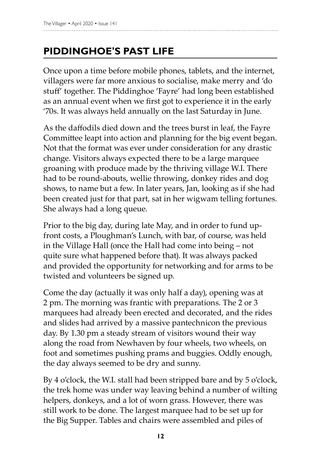### **PIDDINGHOE's past life**

Once upon a time before mobile phones, tablets, and the internet, villagers were far more anxious to socialise, make merry and 'do stuff' together. The Piddinghoe 'Fayre' had long been established as an annual event when we first got to experience it in the early '70s. It was always held annually on the last Saturday in June.

As the daffodils died down and the trees burst in leaf, the Fayre Committee leapt into action and planning for the big event began. Not that the format was ever under consideration for any drastic change. Visitors always expected there to be a large marquee groaning with produce made by the thriving village W.I. There had to be round-abouts, wellie throwing, donkey rides and dog shows, to name but a few. In later years, Jan, looking as if she had been created just for that part, sat in her wigwam telling fortunes. She always had a long queue.

Prior to the big day, during late May, and in order to fund upfront costs, a Ploughman's Lunch, with bar, of course, was held in the Village Hall (once the Hall had come into being – not quite sure what happened before that). It was always packed and provided the opportunity for networking and for arms to be twisted and volunteers be signed up.

Come the day (actually it was only half a day), opening was at 2 pm. The morning was frantic with preparations. The 2 or 3 marquees had already been erected and decorated, and the rides and slides had arrived by a massive pantechnicon the previous day. By 1.30 pm a steady stream of visitors wound their way along the road from Newhaven by four wheels, two wheels, on foot and sometimes pushing prams and buggies. Oddly enough, the day always seemed to be dry and sunny.

By 4 o'clock, the W.I. stall had been stripped bare and by 5 o'clock, the trek home was under way leaving behind a number of wilting helpers, donkeys, and a lot of worn grass. However, there was still work to be done. The largest marquee had to be set up for the Big Supper. Tables and chairs were assembled and piles of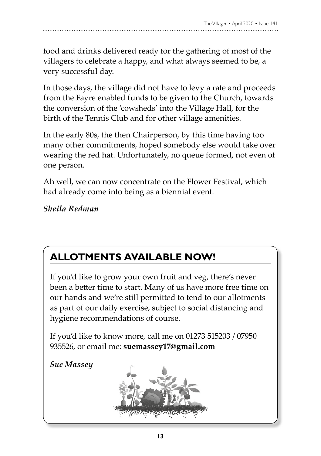food and drinks delivered ready for the gathering of most of the villagers to celebrate a happy, and what always seemed to be, a very successful day.

In those days, the village did not have to levy a rate and proceeds from the Fayre enabled funds to be given to the Church, towards the conversion of the 'cowsheds' into the Village Hall, for the birth of the Tennis Club and for other village amenities.

In the early 80s, the then Chairperson, by this time having too many other commitments, hoped somebody else would take over wearing the red hat. Unfortunately, no queue formed, not even of one person.

Ah well, we can now concentrate on the Flower Festival, which had already come into being as a biennial event.

*Sheila Redman* 

### **Allotments availAble now!**

If you'd like to grow your own fruit and veg, there's never been a better time to start. Many of us have more free time on our hands and we're still permitted to tend to our allotments as part of our daily exercise, subject to social distancing and hygiene recommendations of course.

If you'd like to know more, call me on 01273 515203 / 07950 935526, or email me: **suemassey17@gmail.com**

*Sue Massey*

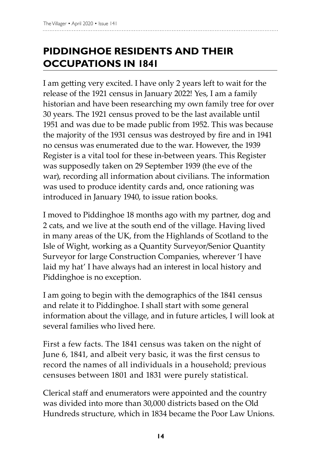## **PIDDINGHOE RESIDENTS AND THEIR OCCUPATIONS IN 1841**

I am getting very excited. I have only 2 years left to wait for the release of the 1921 census in January 2022! Yes, I am a family historian and have been researching my own family tree for over 30 years. The 1921 census proved to be the last available until 1951 and was due to be made public from 1952. This was because the majority of the 1931 census was destroyed by fire and in 1941 no census was enumerated due to the war. However, the 1939 Register is a vital tool for these in-between years. This Register was supposedly taken on 29 September 1939 (the eve of the war), recording all information about civilians. The information was used to produce identity cards and, once rationing was introduced in January 1940, to issue ration books.

I moved to Piddinghoe 18 months ago with my partner, dog and 2 cats, and we live at the south end of the village. Having lived in many areas of the UK, from the Highlands of Scotland to the Isle of Wight, working as a Quantity Surveyor/Senior Quantity Surveyor for large Construction Companies, wherever 'I have laid my hat' I have always had an interest in local history and Piddinghoe is no exception.

I am going to begin with the demographics of the 1841 census and relate it to Piddinghoe. I shall start with some general information about the village, and in future articles, I will look at several families who lived here.

First a few facts. The 1841 census was taken on the night of June 6, 1841, and albeit very basic, it was the first census to record the names of all individuals in a household; previous censuses between 1801 and 1831 were purely statistical.

Clerical staff and enumerators were appointed and the country was divided into more than 30,000 districts based on the Old Hundreds structure, which in 1834 became the Poor Law Unions.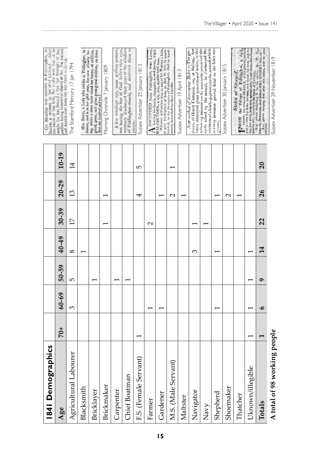| 1841 Demographics            |       |           |                          |                 |                   |                   |                 | Suffex, a woman to her thre hutband. After<br>the death of her firft, fhe could wait but thee<br>On Monday was married at Piddinghoe, in                                                                                   |
|------------------------------|-------|-----------|--------------------------|-----------------|-------------------|-------------------|-----------------|----------------------------------------------------------------------------------------------------------------------------------------------------------------------------------------------------------------------------|
| Age                          | $+07$ | $60 - 69$ | 50-59                    | 40-49           | $30 - 39$         | $20 - 29$         | $10 - 19$       | weeks for her fecond; but the ftrength of her<br>paffion being fomewhat abated at 60, The waited<br>juft double that time for her third nufband.                                                                           |
| Agricultural Labourer        |       | 3         | ю                        | $\infty$        | $\overline{1}$    | $\frac{3}{2}$     | $\overline{14}$ | The Stamford Mercury 17 Jan 1794                                                                                                                                                                                           |
| Blacksmith                   |       |           |                          |                 |                   |                   |                 | Mrs. Bren, a Lady who resides at Piddinghoe, in<br>Sussex, and is in her 96th year, has now actually liv-                                                                                                                  |
| Bricklayer                   |       |           | $\overline{\phantom{0}}$ |                 |                   |                   |                 | ing, within a short space round her house, of children,<br>grand, great, and great great grand children, no fewer<br>than one hundred and ten!                                                                             |
| Brickmaker                   |       |           |                          |                 |                   |                   |                 | Morning Chronicle 7 January 1809                                                                                                                                                                                           |
| Carpenter                    |       |           | ۳                        |                 |                   |                   |                 | not having the fear of God before their eyes,<br>A few evenings ago, some profane persons,                                                                                                                                 |
| Chief Boatman                |       |           |                          |                 |                   |                   |                 | wantonly discharged their guns at the windows<br>of Piddinghoe church, and shattered them to                                                                                                                               |
| F.S. (Female Servant)        |       |           |                          |                 |                   | 4                 | 5               | Sussex Advertiser 25 January 1813<br>pieces.                                                                                                                                                                               |
| Farmer                       |       |           |                          |                 | $\mathbf{\Omega}$ |                   |                 | leaving his family chargable to said parish, THO-<br>BSCONDED from Piddinghoe, near Lewes,                                                                                                                                 |
| Gardener                     |       |           |                          |                 |                   | ۳                 |                 | Whoever will seeme him in any of his Majesty's Jails,<br>MAS CRUNDEN, a tall, thin, middle-ared man.                                                                                                                       |
| M.S. (Male Servant)          |       |           |                          |                 |                   | $\mathbf{\Omega}$ |                 | or give intelligence of him, so that he may be appre-<br>hended, to the Overseers of Puddinghoe, shall be hand-<br>somely rewarded for their trouble.                                                                      |
| Maltster                     |       |           |                          |                 |                   |                   |                 | Sussex Advertiser 19 April 1813                                                                                                                                                                                            |
| Navigator                    |       |           |                          | ω               | ٣                 |                   |                 | dener, of Henry Campion, esq. at Malling, has<br>ately destroyed great quantities of moles, in the<br>Now method of destroying Moles.-The gar-                                                                             |
| Navy                         |       |           |                          |                 |                   |                   |                 | following manner: - As soon as he perceived the<br>earth raised by the strimal, he discharged the<br>contents of a fowling-piece into the mound, which                                                                     |
| Shepherd                     |       | ٣         |                          |                 |                   |                   |                 | in every instance proved fatal to the little en-<br>gueer.                                                                                                                                                                 |
| Shoemaker                    |       |           |                          |                 |                   | $\mathbf{\Omega}$ |                 | Sussex Advertiser 30 January 1815                                                                                                                                                                                          |
| Thatcher                     |       |           |                          |                 |                   |                   |                 | TROM the Village of Fiddinghoe, a dark<br>smooth, tan coloured BEAGLE, of full growth, mirked<br>Stolen or Strayed.                                                                                                        |
| Uknown/illegible             |       |           | ۳                        |                 |                   |                   |                 | with a white shp down the face, and round the neck, and the<br>one feet white, long earl, maiseal deen joinel voice, about alone                                                                                           |
| Totals                       |       | $\bullet$ | Ó                        | $\overline{14}$ | 22                | 26                | 20              | moulds old; anyons to the name of $\Gamma_0$ press, $M_f$ , $W_f$ . $\Gamma_6$ .<br>$M_{\rm 1Q}$ where delivering it is the owner, $M_f$ , $W_f$ . $\Gamma_6$ .<br>Apy person are ping him after this notice, will be pro- |
| A total of 98 working people |       |           |                          |                 |                   |                   |                 | Sussex Advertiser 29 November 1819                                                                                                                                                                                         |

ř ن<br>م

The Villager • April 2020 • Issue 141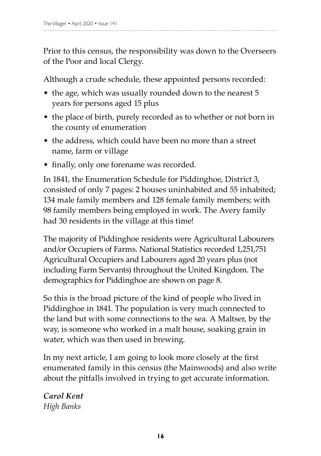Prior to this census, the responsibility was down to the Overseers of the Poor and local Clergy.

Although a crude schedule, these appointed persons recorded:

- the age, which was usually rounded down to the nearest 5 years for persons aged 15 plus
- the place of birth, purely recorded as to whether or not born in the county of enumeration
- the address, which could have been no more than a street name, farm or village
- finally, only one forename was recorded.

In 1841, the Enumeration Schedule for Piddinghoe, District 3, consisted of only 7 pages: 2 houses uninhabited and 55 inhabited; 134 male family members and 128 female family members; with 98 family members being employed in work. The Avery family had 30 residents in the village at this time!

The majority of Piddinghoe residents were Agricultural Labourers and/or Occupiers of Farms. National Statistics recorded 1,251,751 Agricultural Occupiers and Labourers aged 20 years plus (not including Farm Servants) throughout the United Kingdom. The demographics for Piddinghoe are shown on page 8.

So this is the broad picture of the kind of people who lived in Piddinghoe in 1841. The population is very much connected to the land but with some connections to the sea. A Maltser, by the way, is someone who worked in a malt house, soaking grain in water, which was then used in brewing.

In my next article, I am going to look more closely at the first enumerated family in this census (the Mainwoods) and also write about the pitfalls involved in trying to get accurate information.

*Carol Kent High Banks*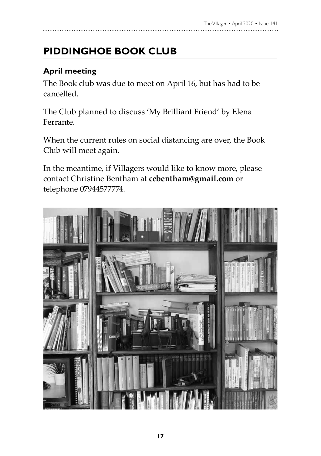# **PIDDINGHOE BOOK CLUB**

### **April meeting**

The Book club was due to meet on April 16, but has had to be cancelled.

The Club planned to discuss 'My Brilliant Friend' by Elena Ferrante.

When the current rules on social distancing are over, the Book Club will meet again.

In the meantime, if Villagers would like to know more, please contact Christine Bentham at **ccbentham@gmail.com** or telephone 07944577774.

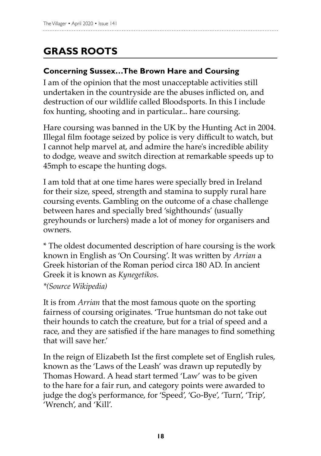## **GRASS ROOTS**

#### **Concerning Sussex…The Brown Hare and Coursing**

I am of the opinion that the most unacceptable activities still undertaken in the countryside are the abuses inflicted on, and destruction of our wildlife called Bloodsports. In this I include fox hunting, shooting and in particular... hare coursing.

Hare coursing was banned in the UK by the Hunting Act in 2004. Illegal film footage seized by police is very difficult to watch, but I cannot help marvel at, and admire the hare's incredible ability to dodge, weave and switch direction at remarkable speeds up to 45mph to escape the hunting dogs.

I am told that at one time hares were specially bred in Ireland for their size, speed, strength and stamina to supply rural hare coursing events. Gambling on the outcome of a chase challenge between hares and specially bred 'sighthounds' (usually greyhounds or lurchers) made a lot of money for organisers and owners.

\* The oldest documented description of hare coursing is the work known in English as 'On Coursing'. It was written by *Arrian* a Greek historian of the Roman period circa 180 AD. In ancient Greek it is known as *Kynegetikos*.

*\*(Source Wikipedia)* 

It is from *Arrian* that the most famous quote on the sporting fairness of coursing originates. 'True huntsman do not take out their hounds to catch the creature, but for a trial of speed and a race, and they are satisfied if the hare manages to find something that will save her.'

In the reign of Elizabeth Ist the first complete set of English rules, known as the 'Laws of the Leash' was drawn up reputedly by Thomas Howard. A head start termed 'Law' was to be given to the hare for a fair run, and category points were awarded to judge the dog's performance, for 'Speed', 'Go-Bye', 'Turn', 'Trip', 'Wrench', and 'Kill'.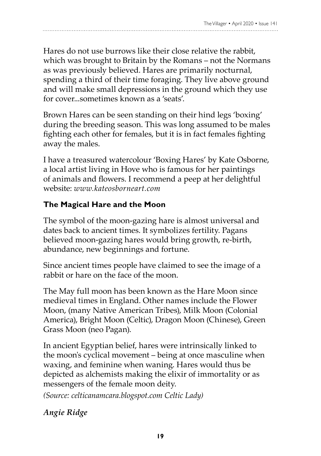Hares do not use burrows like their close relative the rabbit, which was brought to Britain by the Romans – not the Normans as was previously believed. Hares are primarily nocturnal, spending a third of their time foraging. They live above ground and will make small depressions in the ground which they use for cover. sometimes known as a 'seats'.

Brown Hares can be seen standing on their hind legs 'boxing' during the breeding season. This was long assumed to be males fighting each other for females, but it is in fact females fighting away the males.

I have a treasured watercolour 'Boxing Hares' by Kate Osborne, a local artist living in Hove who is famous for her paintings of animals and flowers. I recommend a peep at her delightful website: *www.kateosborneart.com*

### **The Magical Hare and the Moon**

The symbol of the moon-gazing hare is almost universal and dates back to ancient times. It symbolizes fertility. Pagans believed moon-gazing hares would bring growth, re-birth, abundance, new beginnings and fortune.

Since ancient times people have claimed to see the image of a rabbit or hare on the face of the moon.

The May full moon has been known as the Hare Moon since medieval times in England. Other names include the Flower Moon, (many Native American Tribes), Milk Moon (Colonial America), Bright Moon (Celtic), Dragon Moon (Chinese), Green Grass Moon (neo Pagan).

In ancient Egyptian belief, hares were intrinsically linked to the moon's cyclical movement – being at once masculine when waxing, and feminine when waning. Hares would thus be depicted as alchemists making the elixir of immortality or as messengers of the female moon deity.

*(Source: celticanamcara.blogspot.com Celtic Lady)*

*Angie Ridge*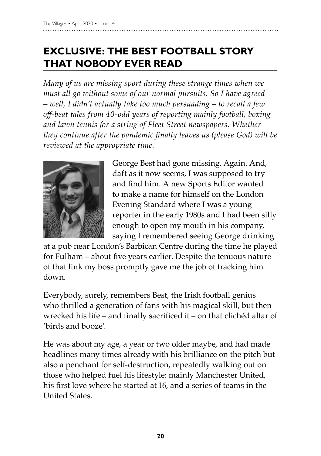## **EXCLUSIVE: THE BEST FOOTBALL STORY THAT NOBODY EVER READ**

*Many of us are missing sport during these strange times when we must all go without some of our normal pursuits. So I have agreed – well, I didn't actually take too much persuading – to recall a few off-beat tales from 40-odd years of reporting mainly football, boxing and lawn tennis for a string of Fleet Street newspapers. Whether they continue after the pandemic finally leaves us (please God) will be reviewed at the appropriate time.* 



George Best had gone missing. Again. And, daft as it now seems, I was supposed to try and find him. A new Sports Editor wanted to make a name for himself on the London Evening Standard where I was a young reporter in the early 1980s and I had been silly enough to open my mouth in his company, saying I remembered seeing George drinking

at a pub near London's Barbican Centre during the time he played for Fulham – about five years earlier. Despite the tenuous nature of that link my boss promptly gave me the job of tracking him down.

Everybody, surely, remembers Best, the Irish football genius who thrilled a generation of fans with his magical skill, but then wrecked his life – and finally sacrificed it – on that clichéd altar of 'birds and booze'.

He was about my age, a year or two older maybe, and had made headlines many times already with his brilliance on the pitch but also a penchant for self-destruction, repeatedly walking out on those who helped fuel his lifestyle: mainly Manchester United, his first love where he started at 16, and a series of teams in the United States.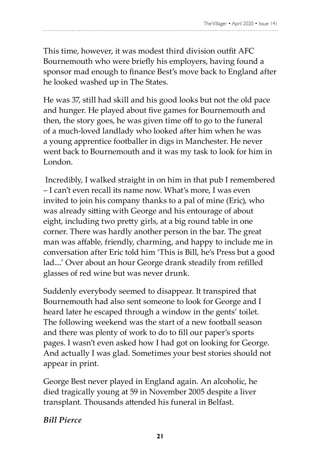This time, however, it was modest third division outfit AFC Bournemouth who were briefly his employers, having found a sponsor mad enough to finance Best's move back to England after he looked washed up in The States.

He was 37, still had skill and his good looks but not the old pace and hunger. He played about five games for Bournemouth and then, the story goes, he was given time off to go to the funeral of a much-loved landlady who looked after him when he was a young apprentice footballer in digs in Manchester. He never went back to Bournemouth and it was my task to look for him in London.

 Incredibly, I walked straight in on him in that pub I remembered – I can't even recall its name now. What's more, I was even invited to join his company thanks to a pal of mine (Eric), who was already sitting with George and his entourage of about eight, including two pretty girls, at a big round table in one corner. There was hardly another person in the bar. The great man was affable, friendly, charming, and happy to include me in conversation after Eric told him 'This is Bill, he's Press but a good lad....' Over about an hour George drank steadily from refilled glasses of red wine but was never drunk.

Suddenly everybody seemed to disappear. It transpired that Bournemouth had also sent someone to look for George and I heard later he escaped through a window in the gents' toilet. The following weekend was the start of a new football season and there was plenty of work to do to fill our paper's sports pages. I wasn't even asked how I had got on looking for George. And actually I was glad. Sometimes your best stories should not appear in print.

George Best never played in England again. An alcoholic, he died tragically young at 59 in November 2005 despite a liver transplant. Thousands attended his funeral in Belfast.

#### *Bill Pierce*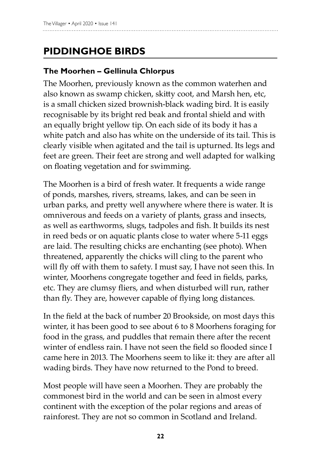## **PIDDINGHOE BIRDS**

### **The Moorhen – Gellinula Chlorpus**

The Moorhen, previously known as the common waterhen and also known as swamp chicken, skitty coot, and Marsh hen, etc, is a small chicken sized brownish-black wading bird. It is easily recognisable by its bright red beak and frontal shield and with an equally bright yellow tip. On each side of its body it has a white patch and also has white on the underside of its tail. This is clearly visible when agitated and the tail is upturned. Its legs and feet are green. Their feet are strong and well adapted for walking on floating vegetation and for swimming.

The Moorhen is a bird of fresh water. It frequents a wide range of ponds, marshes, rivers, streams, lakes, and can be seen in urban parks, and pretty well anywhere where there is water. It is omniverous and feeds on a variety of plants, grass and insects, as well as earthworms, slugs, tadpoles and fish. It builds its nest in reed beds or on aquatic plants close to water where 5-11 eggs are laid. The resulting chicks are enchanting (see photo). When threatened, apparently the chicks will cling to the parent who will fly off with them to safety. I must say, I have not seen this. In winter, Moorhens congregate together and feed in fields, parks, etc. They are clumsy fliers, and when disturbed will run, rather than fly. They are, however capable of flying long distances.

In the field at the back of number 20 Brookside, on most days this winter, it has been good to see about 6 to 8 Moorhens foraging for food in the grass, and puddles that remain there after the recent winter of endless rain. I have not seen the field so flooded since I came here in 2013. The Moorhens seem to like it: they are after all wading birds. They have now returned to the Pond to breed.

Most people will have seen a Moorhen. They are probably the commonest bird in the world and can be seen in almost every continent with the exception of the polar regions and areas of rainforest. They are not so common in Scotland and Ireland.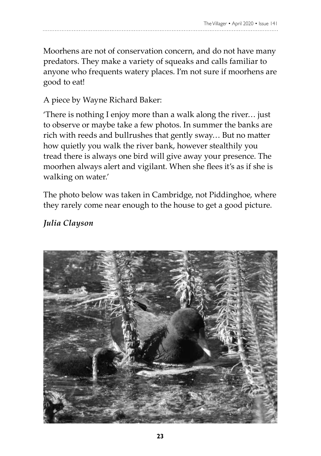Moorhens are not of conservation concern, and do not have many predators. They make a variety of squeaks and calls familiar to anyone who frequents watery places. I'm not sure if moorhens are good to eat!

#### A piece by Wayne Richard Baker:

'There is nothing I enjoy more than a walk along the river… just to observe or maybe take a few photos. In summer the banks are rich with reeds and bullrushes that gently sway… But no matter how quietly you walk the river bank, however stealthily you tread there is always one bird will give away your presence. The moorhen always alert and vigilant. When she flees it's as if she is walking on water.'

The photo below was taken in Cambridge, not Piddinghoe, where they rarely come near enough to the house to get a good picture.

#### *Julia Clayson*